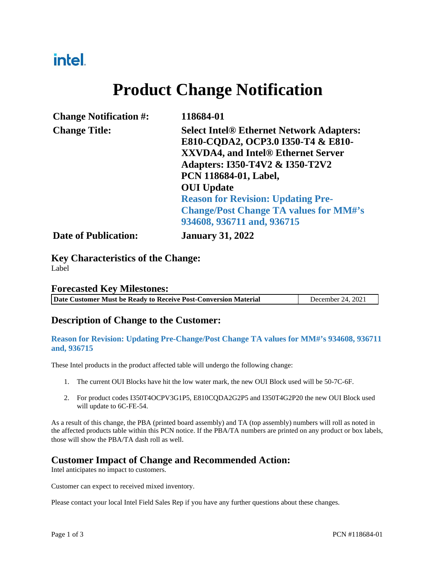## intel.

# **Product Change Notification**

| <b>Change Notification #:</b> | 118684-01                                                                                                          |
|-------------------------------|--------------------------------------------------------------------------------------------------------------------|
| <b>Change Title:</b>          | <b>Select Intel® Ethernet Network Adapters:</b>                                                                    |
|                               | E810-CQDA2, OCP3.0 I350-T4 & E810-<br><b>XXVDA4, and Intel® Ethernet Server</b><br>Adapters: I350-T4V2 & I350-T2V2 |
|                               | PCN 118684-01, Label,                                                                                              |
|                               | <b>OUI</b> Update                                                                                                  |
|                               | <b>Reason for Revision: Updating Pre-</b>                                                                          |
|                               | <b>Change/Post Change TA values for MM#'s</b>                                                                      |
|                               | 934608, 936711 and, 936715                                                                                         |
| <b>Date of Publication:</b>   | <b>January 31, 2022</b>                                                                                            |

**Key Characteristics of the Change:** Label

#### **Forecasted Key Milestones:**

| Date Customer Must be Ready to Receive Post-Conversion Material | December 24, 2021 |
|-----------------------------------------------------------------|-------------------|
|                                                                 |                   |

#### **Description of Change to the Customer:**

#### **Reason for Revision: Updating Pre-Change/Post Change TA values for MM#'s 934608, 936711 and, 936715**

These Intel products in the product affected table will undergo the following change:

- 1. The current OUI Blocks have hit the low water mark, the new OUI Block used will be 50-7C-6F.
- 2. For product codes I350T4OCPV3G1P5, E810CQDA2G2P5 and I350T4G2P20 the new OUI Block used will update to 6C-FE-54.

As a result of this change, the PBA (printed board assembly) and TA (top assembly) numbers will roll as noted in the affected products table within this PCN notice. If the PBA/TA numbers are printed on any product or box labels, those will show the PBA/TA dash roll as well.

## **Customer Impact of Change and Recommended Action:** Intel anticipates no impact to customers.

Customer can expect to received mixed inventory.

Please contact your local Intel Field Sales Rep if you have any further questions about these changes.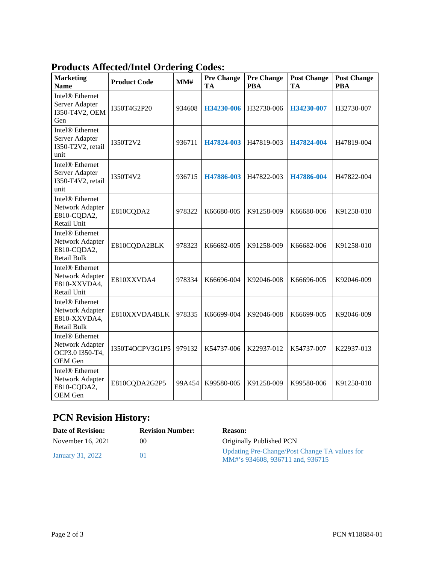| <b>Marketing</b><br><b>Name</b>                                                      | Touters Anterior mich Ortering Co<br><b>Product Code</b> | MM#    | uu,<br><b>Pre Change</b><br>TA | <b>Pre Change</b><br><b>PBA</b> | <b>Post Change</b><br><b>TA</b> | <b>Post Change</b><br><b>PBA</b> |
|--------------------------------------------------------------------------------------|----------------------------------------------------------|--------|--------------------------------|---------------------------------|---------------------------------|----------------------------------|
| Intel <sup>®</sup> Ethernet<br>Server Adapter<br>I350-T4V2, OEM<br>Gen               | I350T4G2P20                                              | 934608 | H34230-006                     | H32730-006                      | H34230-007                      | H32730-007                       |
| Intel <sup>®</sup> Ethernet<br>Server Adapter<br>I350-T2V2, retail<br>unit           | I350T2V2                                                 | 936711 | H47824-003                     | H47819-003                      | H47824-004                      | H47819-004                       |
| Intel <sup>®</sup> Ethernet<br>Server Adapter<br>I350-T4V2, retail<br>unit           | I350T4V2                                                 | 936715 | H47886-003                     | H47822-003                      | H47886-004                      | H47822-004                       |
| Intel <sup>®</sup> Ethernet<br>Network Adapter<br>E810-CQDA2,<br>Retail Unit         | E810CQDA2                                                | 978322 | K66680-005                     | K91258-009                      | K66680-006                      | K91258-010                       |
| Intel <sup>®</sup> Ethernet<br>Network Adapter<br>E810-CQDA2,<br><b>Retail Bulk</b>  | E810CQDA2BLK                                             | 978323 | K66682-005                     | K91258-009                      | K66682-006                      | K91258-010                       |
| Intel <sup>®</sup> Ethernet<br>Network Adapter<br>E810-XXVDA4,<br>Retail Unit        | E810XXVDA4                                               | 978334 | K66696-004                     | K92046-008                      | K66696-005                      | K92046-009                       |
| Intel <sup>®</sup> Ethernet<br>Network Adapter<br>E810-XXVDA4,<br><b>Retail Bulk</b> | E810XXVDA4BLK                                            | 978335 | K66699-004                     | K92046-008                      | K66699-005                      | K92046-009                       |
| Intel <sup>®</sup> Ethernet<br>Network Adapter<br>ОСРЗ.0 ІЗ50-Т4,<br>OEM Gen         | I350T4OCPV3G1P5                                          | 979132 | K54737-006                     | K22937-012                      | K54737-007                      | K22937-013                       |
| Intel <sup>®</sup> Ethernet<br>Network Adapter<br>E810-CQDA2,<br>OEM Gen             | E810CQDA2G2P5                                            | 99A454 | K99580-005                     | K91258-009                      | K99580-006                      | K91258-010                       |

#### **Products Affected/Intel Ordering Codes:**

#### **PCN Revision History:**

| <b>Date of Revision:</b> | <b>Revision Number:</b> | <b>Reason:</b>                                                                    |
|--------------------------|-------------------------|-----------------------------------------------------------------------------------|
| November $16, 2021$      | $($ )(                  | Originally Published PCN                                                          |
| January 31, 2022         | (11)                    | Updating Pre-Change/Post Change TA values for<br>MM#'s 934608, 936711 and, 936715 |